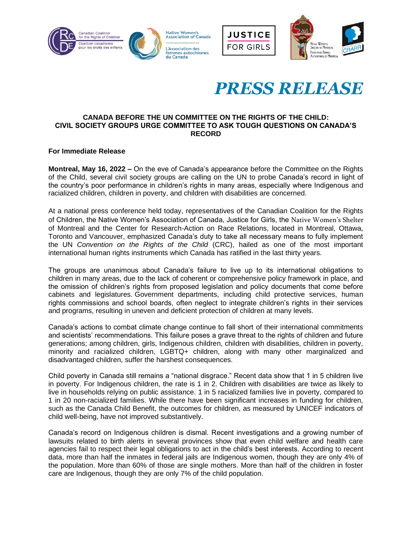





# *PRESS RELEASE*

## **CANADA BEFORE THE UN COMMITTEE ON THE RIGHTS OF THE CHILD: CIVIL SOCIETY GROUPS URGE COMMITTEE TO ASK TOUGH QUESTIONS ON CANADA'S RECORD**

# **For Immediate Release**

**Montreal, May 16, 2022 –** On the eve of Canada's appearance before the Committee on the Rights of the Child, several civil society groups are calling on the UN to probe Canada's record in light of the country's poor performance in children's rights in many areas, especially where Indigenous and racialized children, children in poverty, and children with disabilities are concerned.

At a national press conference held today, representatives of the Canadian Coalition for the Rights of Children, the Native Women's Association of Canada, Justice for Girls, the Native Women's Shelter of Montreal and the Center for Research-Action on Race Relations, located in Montreal, Ottawa, Toronto and Vancouver, emphasized Canada's duty to take all necessary means to fully implement the UN *Convention on the Rights of the Child* (CRC), hailed as one of the most important international human rights instruments which Canada has ratified in the last thirty years.

The groups are unanimous about Canada's failure to live up to its international obligations to children in many areas, due to the lack of coherent or comprehensive policy framework in place, and the omission of children's rights from proposed legislation and policy documents that come before cabinets and legislatures. Government departments, including child protective services, human rights commissions and school boards, often neglect to integrate children's rights in their services and programs, resulting in uneven and deficient protection of children at many levels.

Canada's actions to combat climate change continue to fall short of their international commitments and scientists' recommendations. This failure poses a grave threat to the rights of children and future generations; among children, girls, Indigenous children, children with disabilities, children in poverty, minority and racialized children, LGBTQ+ children, along with many other marginalized and disadvantaged children, suffer the harshest consequences.

Child poverty in Canada still remains a "national disgrace." Recent data show that 1 in 5 children live in poverty. For Indigenous children, the rate is 1 in 2. Children with disabilities are twice as likely to live in households relying on public assistance. 1 in 5 racialized families live in poverty, compared to 1 in 20 non-racialized families. While there have been significant increases in funding for children, such as the Canada Child Benefit, the outcomes for children, as measured by UNICEF indicators of child well-being, have not improved substantively.

Canada's record on Indigenous children is dismal. Recent investigations and a growing number of lawsuits related to birth alerts in several provinces show that even child welfare and health care agencies fail to respect their legal obligations to act in the child's best interests. According to recent data, more than half the inmates in federal jails are Indigenous women, though they are only 4% of the population. More than 60% of those are single mothers. More than half of the children in foster care are Indigenous, though they are only 7% of the child population.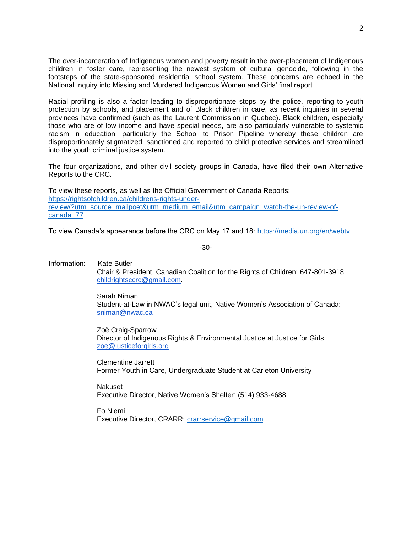The over-incarceration of Indigenous women and poverty result in the over-placement of Indigenous children in foster care, representing the newest system of cultural genocide, following in the footsteps of the state-sponsored residential school system. These concerns are echoed in the National Inquiry into Missing and Murdered Indigenous Women and Girls' final report.

Racial profiling is also a factor leading to disproportionate stops by the police, reporting to youth protection by schools, and placement and of Black children in care, as recent inquiries in several provinces have confirmed (such as the Laurent Commission in Quebec). Black children, especially those who are of low income and have special needs, are also particularly vulnerable to systemic racism in education, particularly the School to Prison Pipeline whereby these children are disproportionately stigmatized, sanctioned and reported to child protective services and streamlined into the youth criminal justice system.

The four organizations, and other civil society groups in Canada, have filed their own Alternative Reports to the CRC.

To view these reports, as well as the Official Government of Canada Reports: [https://rightsofchildren.ca/childrens-rights-under](https://rightsofchildren.ca/childrens-rights-under-review/?utm_source=mailpoet&utm_medium=email&utm_campaign=watch-the-un-review-of-canada_77)[review/?utm\\_source=mailpoet&utm\\_medium=email&utm\\_campaign=watch-the-un-review-of](https://rightsofchildren.ca/childrens-rights-under-review/?utm_source=mailpoet&utm_medium=email&utm_campaign=watch-the-un-review-of-canada_77)[canada\\_77](https://rightsofchildren.ca/childrens-rights-under-review/?utm_source=mailpoet&utm_medium=email&utm_campaign=watch-the-un-review-of-canada_77)

To view Canada's appearance before the CRC on May 17 and 18:<https://media.un.org/en/webtv>

-30-

Information: Kate Butler Chair & President, Canadian Coalition for the Rights of Children: 647-801-3918 [childrightsccrc@gmail.com.](mailto:childrightsccrc@gmail.com)

> Sarah Niman Student-at-Law in NWAC's legal unit, Native Women's Association of Canada: [sniman@nwac.ca](mailto:sniman@nwac.ca)

Zoë Craig-Sparrow Director of Indigenous Rights & Environmental Justice at Justice for Girls [zoe@justiceforgirls.org](mailto:zoe@justiceforgirls.org)

Clementine Jarrett Former Youth in Care, Undergraduate Student at Carleton University

Nakuset Executive Director, Native Women's Shelter: (514) 933-4688

Fo Niemi Executive Director, CRARR: [crarrservice@gmail.com](mailto:crarrservice@gmail.com)